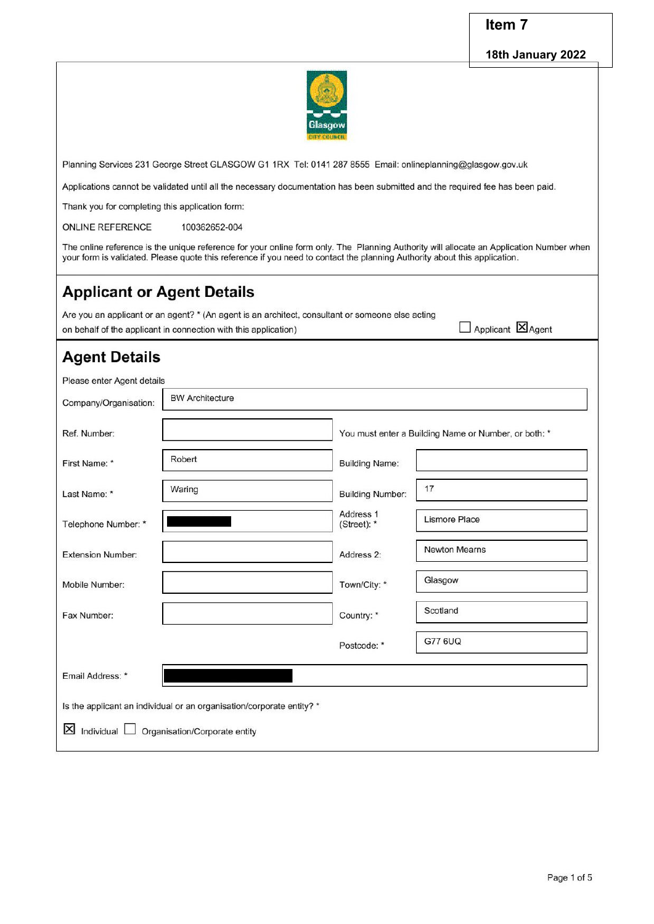### Item 7

Applicant **X**Agent

#### 18th January 2022



Planning Services 231 George Street GLASGOW G1 1RX Tel: 0141 287 8555 Email: onlineplanning@glasgow.gov.uk

Applications cannot be validated until all the necessary documentation has been submitted and the required fee has been paid.

Thank you for completing this application form:

**ONLINE REFERENCE** 100362652-004

The online reference is the unique reference for your online form only. The Planning Authority will allocate an Application Number when your form is validated. Please quote this reference if you need to contact the planning Authority about this application.

## **Applicant or Agent Details**

Are you an applicant or an agent? \* (An agent is an architect, consultant or someone else acting

on behalf of the applicant in connection with this application)

# **Agent Details**

Please enter Agent details **BW Architecture** Company/Organisation: Ref. Number: You must enter a Building Name or Number, or both: \* Robert First Name: \* **Building Name:** 

| Last Name: *             | Waring                                                                | <b>Building Number:</b>  | 17                   |
|--------------------------|-----------------------------------------------------------------------|--------------------------|----------------------|
| Telephone Number: *      |                                                                       | Address 1<br>(Street): * | <b>Lismore Place</b> |
| <b>Extension Number:</b> |                                                                       | Address 2:               | Newton Mearns        |
| Mobile Number:           |                                                                       | Town/City: *             | Glasgow              |
| Fax Number:              |                                                                       | Country: *               | Scotland             |
|                          |                                                                       | Postcode: *              | G77 6UQ              |
| Email Address: *         |                                                                       |                          |                      |
|                          | Is the applicant an individual or an organisation/corporate entity? * |                          |                      |
| $X$ Individual $\Box$    | Organisation/Corporate entity                                         |                          |                      |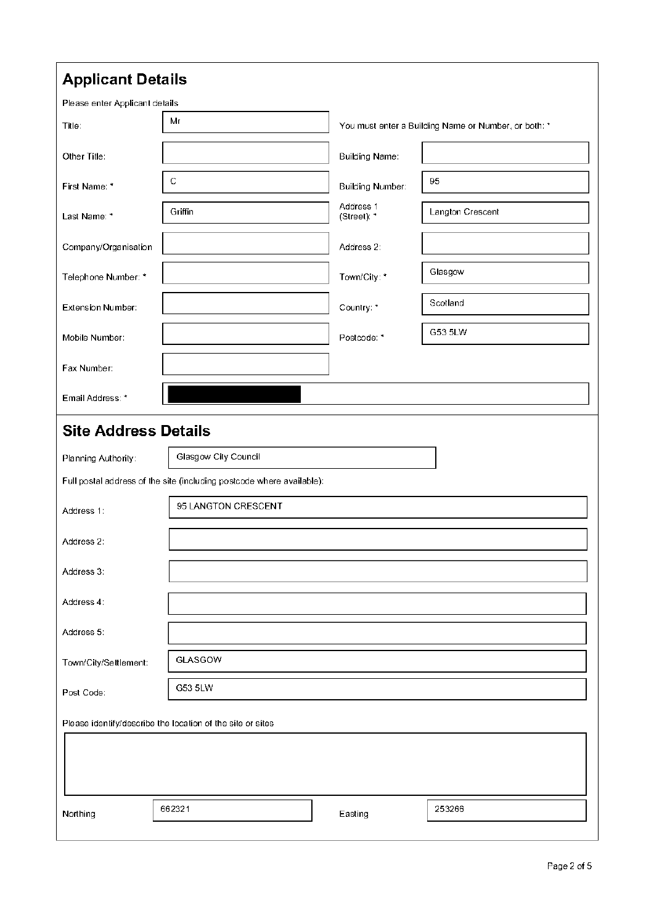| Please enter Applicant details |                                                                       |                          |                                                      |
|--------------------------------|-----------------------------------------------------------------------|--------------------------|------------------------------------------------------|
| Title:                         | Mr                                                                    |                          | You must enter a Building Name or Number, or both: * |
| Other Title:                   |                                                                       | <b>Building Name:</b>    |                                                      |
| First Name: *                  | С                                                                     | <b>Building Number:</b>  | 95                                                   |
| Last Name: *                   | Griffin                                                               | Address 1<br>(Street): * | Langton Crescent                                     |
| Company/Organisation           |                                                                       | Address 2:               |                                                      |
| Telephone Number: *            |                                                                       | Town/City: *             | Glasgow                                              |
| Extension Number:              |                                                                       | Country: *               | Scotland                                             |
| Mobile Number:                 |                                                                       | Postcode: *              | G53 5LW                                              |
| Fax Number:                    |                                                                       |                          |                                                      |
| Email Address: *               |                                                                       |                          |                                                      |
| <b>Site Address Details</b>    |                                                                       |                          |                                                      |
|                                |                                                                       |                          |                                                      |
| Planning Authority:            | Glasgow City Council                                                  |                          |                                                      |
|                                | Full postal address of the site (including postcode where available): |                          |                                                      |
| Address 1:                     | 95 LANGTON CRESCENT                                                   |                          |                                                      |
| Address 2:                     |                                                                       |                          |                                                      |
| Address 3:                     |                                                                       |                          |                                                      |
| Address 4:                     |                                                                       |                          |                                                      |
| Address 5:                     |                                                                       |                          |                                                      |
| Town/City/Settlement:          | GLASGOW                                                               |                          |                                                      |
| Post Code:                     | G53 5LW                                                               |                          |                                                      |
|                                | Please identify/describe the location of the site or sites            |                          |                                                      |
|                                |                                                                       |                          |                                                      |
|                                |                                                                       |                          |                                                      |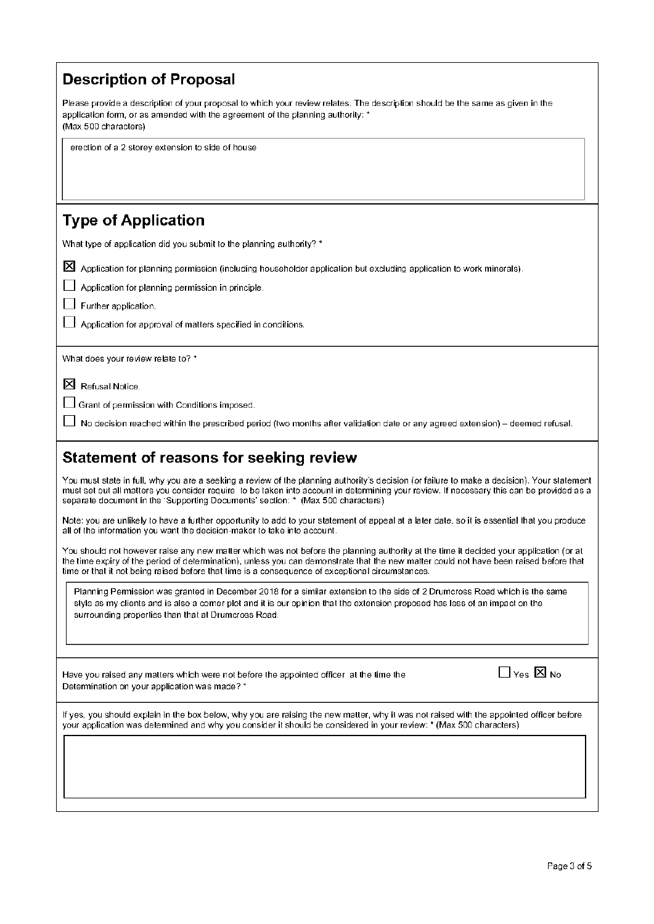| <b>Description of Proposal</b>                                                                                                                                                                                                                                                                                                                                                       |
|--------------------------------------------------------------------------------------------------------------------------------------------------------------------------------------------------------------------------------------------------------------------------------------------------------------------------------------------------------------------------------------|
| Please provide a description of your proposal to which your review relates. The description should be the same as given in the<br>application form, or as amended with the agreement of the planning authority: *<br>(Max 500 characters)                                                                                                                                            |
| erection of a 2 storey extension to side of house                                                                                                                                                                                                                                                                                                                                    |
| <b>Type of Application</b>                                                                                                                                                                                                                                                                                                                                                           |
| What type of application did you submit to the planning authority? *                                                                                                                                                                                                                                                                                                                 |
| ⊠<br>Application for planning permission (including householder application but excluding application to work minerals).<br>Application for planning permission in principle.<br>Further application.                                                                                                                                                                                |
| Application for approval of matters specified in conditions.                                                                                                                                                                                                                                                                                                                         |
| What does your review relate to? *                                                                                                                                                                                                                                                                                                                                                   |
| Ι×ι<br>Refusal Notice.                                                                                                                                                                                                                                                                                                                                                               |
| Grant of permission with Conditions imposed.<br>No decision reached within the prescribed period (two months after validation date or any agreed extension) – deemed refusal.                                                                                                                                                                                                        |
|                                                                                                                                                                                                                                                                                                                                                                                      |
| <b>Statement of reasons for seeking review</b>                                                                                                                                                                                                                                                                                                                                       |
|                                                                                                                                                                                                                                                                                                                                                                                      |
| You must state in full, why you are a seeking a review of the planning authority's decision (or failure to make a decision). Your statement<br>must set out all matters you consider require to be taken into account in determining your review. If necessary this can be provided as a<br>separate document in the 'Supporting Documents' section: * (Max 500 characters)          |
| Note: you are unlikely to have a further opportunity to add to your statement of appeal at a later date, so it is essential that you produce<br>all of the information you want the decision-maker to take into account.                                                                                                                                                             |
| You should not however raise any new matter which was not before the planning authority at the time it decided your application (or at<br>the time expiry of the period of determination), unless you can demonstrate that the new matter could not have been raised before that<br>time or that it not being raised before that time is a consequence of exceptional circumstances. |
| Planning Permission was granted in December 2018 for a similar extension to the side of 2 Drumcross Road which is the same<br>style as my clients and is also a corner plot and it is our opinion that the extension proposed has less of an impact on the<br>surrounding properties than that at Drumcross Road.                                                                    |
|                                                                                                                                                                                                                                                                                                                                                                                      |
| $\Box$ Yes $\boxtimes$ No<br>Have you raised any matters which were not before the appointed officer at the time the<br>Determination on your application was made? *                                                                                                                                                                                                                |
| If yes, you should explain in the box below, why you are raising the new matter, why it was not raised with the appointed officer before<br>your application was determined and why you consider it should be considered in your review: * (Max 500 characters)                                                                                                                      |
|                                                                                                                                                                                                                                                                                                                                                                                      |
|                                                                                                                                                                                                                                                                                                                                                                                      |
|                                                                                                                                                                                                                                                                                                                                                                                      |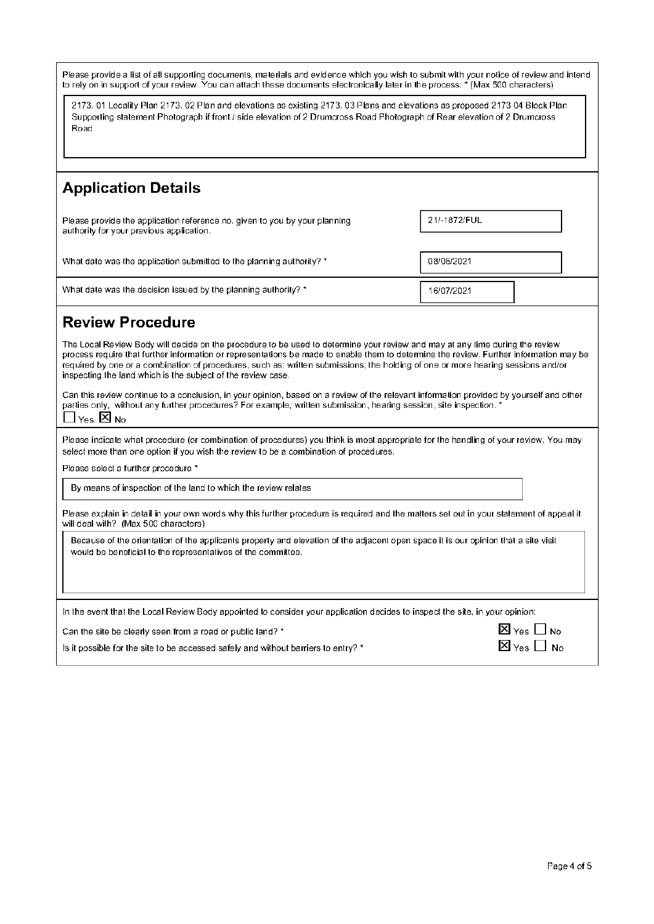| Please provide a list of all supporting documents, materials and evidence which you wish to submit with your notice of review and intend<br>to rely on in support of your review. You can attach these documents electronically later in the process: * (Max 500 characters)                                                                                                                                                                                               |                                             |  |
|----------------------------------------------------------------------------------------------------------------------------------------------------------------------------------------------------------------------------------------------------------------------------------------------------------------------------------------------------------------------------------------------------------------------------------------------------------------------------|---------------------------------------------|--|
| 2173. 01 Locality Plan 2173. 02 Plan and elevations as existing 2173. 03 Plans and elevations as proposed 2173 04 Block Plan<br>Supporting statement Photograph if front / side elevation of 2 Drumcross Road Photograph of Rear elevation of 2 Drumcross<br>Road                                                                                                                                                                                                          |                                             |  |
|                                                                                                                                                                                                                                                                                                                                                                                                                                                                            |                                             |  |
| <b>Application Details</b>                                                                                                                                                                                                                                                                                                                                                                                                                                                 |                                             |  |
| Please provide the application reference no, given to you by your planning<br>authority for your previous application.                                                                                                                                                                                                                                                                                                                                                     | 21/-1872/FUL                                |  |
| What date was the application submitted to the planning authority? *                                                                                                                                                                                                                                                                                                                                                                                                       | 08/06/2021                                  |  |
| What date was the decision issued by the planning authority? *                                                                                                                                                                                                                                                                                                                                                                                                             | 16/07/2021                                  |  |
| <b>Review Procedure</b>                                                                                                                                                                                                                                                                                                                                                                                                                                                    |                                             |  |
| The Local Review Body will decide on the procedure to be used to determine your review and may at any time during the review<br>process require that further information or representations be made to enable them to determine the review. Further information may be<br>required by one or a combination of procedures, such as: written submissions; the holding of one or more hearing sessions and/or<br>inspecting the land which is the subject of the review case. |                                             |  |
| Can this review continue to a conclusion, in your opinion, based on a review of the relevant information provided by yourself and other<br>parties only, without any further procedures? For example, written submission, hearing session, site inspection. *<br>Yes $\boxtimes$ No                                                                                                                                                                                        |                                             |  |
| Please indicate what procedure (or combination of procedures) you think is most appropriate for the handling of your review. You may<br>select more than one option if you wish the review to be a combination of procedures.                                                                                                                                                                                                                                              |                                             |  |
| Please select a further procedure *                                                                                                                                                                                                                                                                                                                                                                                                                                        |                                             |  |
| By means of inspection of the land to which the review relates                                                                                                                                                                                                                                                                                                                                                                                                             |                                             |  |
| Please explain in detail in your own words why this further procedure is required and the matters set out in your statement of appeal it<br>will deal with? (Max 500 characters)                                                                                                                                                                                                                                                                                           |                                             |  |
| Because of the orientation of the applicants property and elevation of the adjacent open space it is our opinion that a site visit<br>would be beneficial to the representatives of the committee.                                                                                                                                                                                                                                                                         |                                             |  |
| In the event that the Local Review Body appointed to consider your application decides to inspect the site, in your opinion:                                                                                                                                                                                                                                                                                                                                               |                                             |  |
| $\boxtimes$ Yes $\Box$ No<br>Can the site be clearly seen from a road or public land? *                                                                                                                                                                                                                                                                                                                                                                                    |                                             |  |
| is it possible for the site to be accessed safely and without barriers to entry? *                                                                                                                                                                                                                                                                                                                                                                                         | $\boxtimes$ $\scriptstyle\rm Yes}\,\Box$ No |  |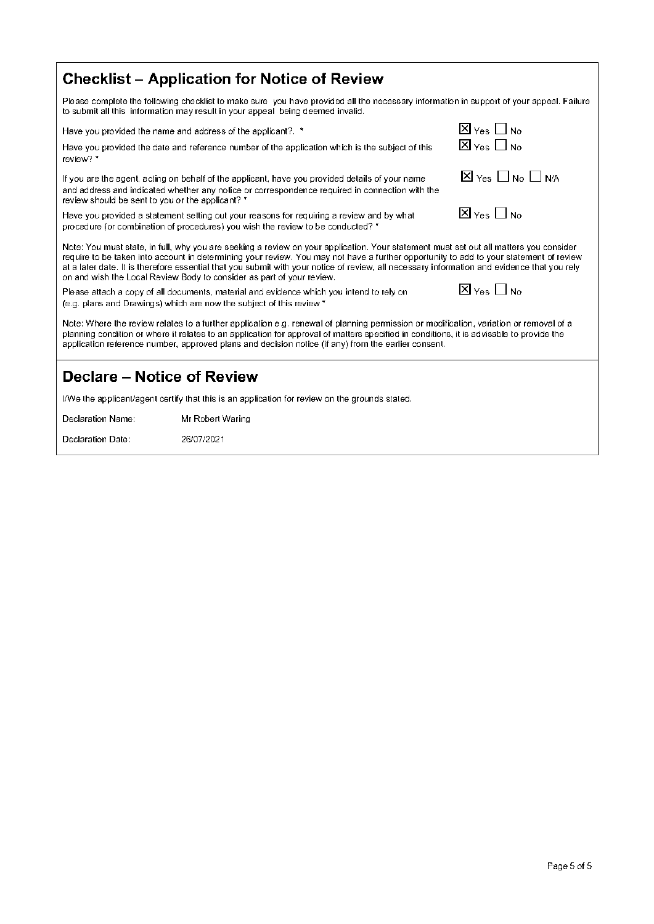| Checklist – Application for Notice of Review |  |
|----------------------------------------------|--|
|----------------------------------------------|--|

Please complete the following checklist to make sure you have provided all the necessary information in support of your appeal. Failure to submit all this information may result in your appeal being deemed invalid.

Have you provided the name and address of the applicant?. \*

| Have you provided the date and reference number of the application which is the subject of this |  |
|-------------------------------------------------------------------------------------------------|--|
| review? *                                                                                       |  |

If you are the agent, acting on behalf of the applicant, have you provided details of your name and address and indicated whether any notice or correspondence required in connection with the review should be sent to you or the applicant? \*

Have you provided a statement setting out your reasons for requiring a review and by what procedure (or combination of procedures) you wish the review to be conducted? \*

| $\boxtimes$ $_{\rm Yes}$ $\Box$ No   |  |
|--------------------------------------|--|
| $\boxtimes$ Yes $\Box$ No $\Box$ N/A |  |

 $\overline{X}$  Yes  $\overline{\Box}$  No.

 $\overline{X}$  Yes  $\prod$  No.

Note: You must state, in full, why you are seeking a review on your application. Your statement must set out all matters you consider require to be taken into account in determining your review. You may not have a further opportunity to add to your statement of review at a later date. It is therefore essential that you submit with your notice of review, all necessary information and evidence that you rely on and wish the Local Review Body to consider as part of your review.

Please attach a copy of all documents, material and evidence which you intend to rely on (e.g. plans and Drawings) which are now the subject of this review \*



Note: Where the review relates to a further application e.g. renewal of planning permission or modification, variation or removal of a planning condition or where it relates to an application for approval of matters specified in conditions, it is advisable to provide the application reference number, approved plans and decision notice (if any) from the earlier consent.

#### Declare - Notice of Review

I/We the applicant/agent certify that this is an application for review on the grounds stated.

Declaration Name: Mr Robert Waring

Declaration Date: 26/07/2021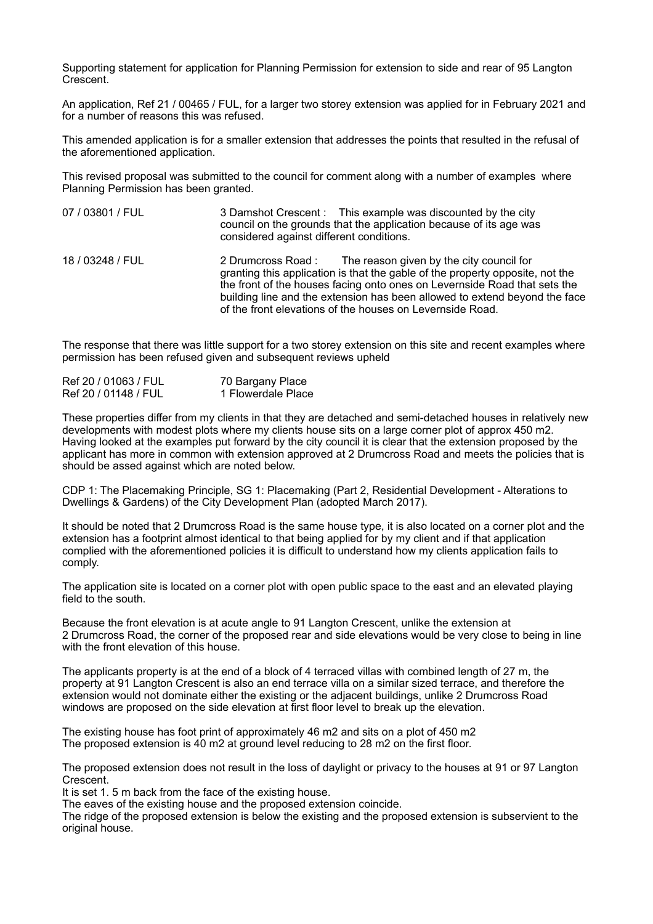Supporting statement for application for Planning Permission for extension to side and rear of 95 Langton Crescent.

An application, Ref 21 / 00465 / FUL, for a larger two storey extension was applied for in February 2021 and for a number of reasons this was refused.

This amended application is for a smaller extension that addresses the points that resulted in the refusal of the aforementioned application.

This revised proposal was submitted to the council for comment along with a number of examples where Planning Permission has been granted.

- 07 / 03801 / FUL 3 Damshot Crescent : This example was discounted by the city council on the grounds that the application because of its age was considered against different conditions. 18 / 03248 / FUL 2 Drumcross Road : The reason given by the city council for
	- granting this application is that the gable of the property opposite, not the the front of the houses facing onto ones on Levernside Road that sets the building line and the extension has been allowed to extend beyond the face of the front elevations of the houses on Levernside Road.

The response that there was little support for a two storey extension on this site and recent examples where permission has been refused given and subsequent reviews upheld

| Ref 20 / 01063 / FUL | 70 Bargany Place   |
|----------------------|--------------------|
| Ref 20 / 01148 / FUL | 1 Flowerdale Place |

These properties differ from my clients in that they are detached and semi-detached houses in relatively new developments with modest plots where my clients house sits on a large corner plot of approx 450 m2. Having looked at the examples put forward by the city council it is clear that the extension proposed by the applicant has more in common with extension approved at 2 Drumcross Road and meets the policies that is should be assed against which are noted below.

CDP 1: The Placemaking Principle, SG 1: Placemaking (Part 2, Residential Development - Alterations to Dwellings & Gardens) of the City Development Plan (adopted March 2017).

It should be noted that 2 Drumcross Road is the same house type, it is also located on a corner plot and the extension has a footprint almost identical to that being applied for by my client and if that application complied with the aforementioned policies it is difficult to understand how my clients application fails to comply.

The application site is located on a corner plot with open public space to the east and an elevated playing field to the south.

Because the front elevation is at acute angle to 91 Langton Crescent, unlike the extension at 2 Drumcross Road, the corner of the proposed rear and side elevations would be very close to being in line with the front elevation of this house.

The applicants property is at the end of a block of 4 terraced villas with combined length of 27 m, the property at 91 Langton Crescent is also an end terrace villa on a similar sized terrace, and therefore the extension would not dominate either the existing or the adjacent buildings, unlike 2 Drumcross Road windows are proposed on the side elevation at first floor level to break up the elevation.

The existing house has foot print of approximately 46 m2 and sits on a plot of 450 m2 The proposed extension is 40 m2 at ground level reducing to 28 m2 on the first floor.

The proposed extension does not result in the loss of daylight or privacy to the houses at 91 or 97 Langton Crescent.

It is set 1. 5 m back from the face of the existing house.

The eaves of the existing house and the proposed extension coincide.

The ridge of the proposed extension is below the existing and the proposed extension is subservient to the original house.